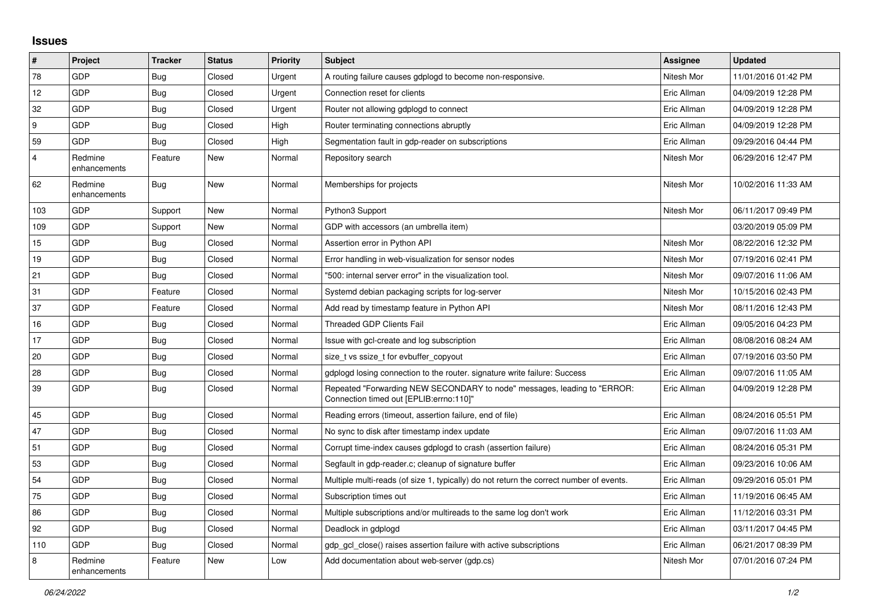## **Issues**

| #              | Project                 | <b>Tracker</b> | <b>Status</b> | <b>Priority</b> | Subject                                                                                                             | <b>Assignee</b> | <b>Updated</b>      |
|----------------|-------------------------|----------------|---------------|-----------------|---------------------------------------------------------------------------------------------------------------------|-----------------|---------------------|
| 78             | GDP                     | <b>Bug</b>     | Closed        | Urgent          | A routing failure causes gdplogd to become non-responsive.                                                          | Nitesh Mor      | 11/01/2016 01:42 PM |
| 12             | GDP                     | <b>Bug</b>     | Closed        | Urgent          | Connection reset for clients                                                                                        | Eric Allman     | 04/09/2019 12:28 PM |
| 32             | <b>GDP</b>              | <b>Bug</b>     | Closed        | Urgent          | Router not allowing gdplogd to connect                                                                              | Eric Allman     | 04/09/2019 12:28 PM |
| 9              | <b>GDP</b>              | Bug            | Closed        | High            | Router terminating connections abruptly                                                                             | Eric Allman     | 04/09/2019 12:28 PM |
| 59             | <b>GDP</b>              | <b>Bug</b>     | Closed        | High            | Segmentation fault in gdp-reader on subscriptions                                                                   | Eric Allman     | 09/29/2016 04:44 PM |
| $\overline{4}$ | Redmine<br>enhancements | Feature        | New           | Normal          | Repository search                                                                                                   | Nitesh Mor      | 06/29/2016 12:47 PM |
| 62             | Redmine<br>enhancements | Bug            | <b>New</b>    | Normal          | Memberships for projects                                                                                            | Nitesh Mor      | 10/02/2016 11:33 AM |
| 103            | <b>GDP</b>              | Support        | <b>New</b>    | Normal          | Python3 Support                                                                                                     | Nitesh Mor      | 06/11/2017 09:49 PM |
| 109            | <b>GDP</b>              | Support        | New           | Normal          | GDP with accessors (an umbrella item)                                                                               |                 | 03/20/2019 05:09 PM |
| 15             | GDP                     | <b>Bug</b>     | Closed        | Normal          | Assertion error in Python API                                                                                       | Nitesh Mor      | 08/22/2016 12:32 PM |
| 19             | <b>GDP</b>              | <b>Bug</b>     | Closed        | Normal          | Error handling in web-visualization for sensor nodes                                                                | Nitesh Mor      | 07/19/2016 02:41 PM |
| 21             | <b>GDP</b>              | <b>Bug</b>     | Closed        | Normal          | "500: internal server error" in the visualization tool.                                                             | Nitesh Mor      | 09/07/2016 11:06 AM |
| 31             | <b>GDP</b>              | Feature        | Closed        | Normal          | Systemd debian packaging scripts for log-server                                                                     | Nitesh Mor      | 10/15/2016 02:43 PM |
| 37             | <b>GDP</b>              | Feature        | Closed        | Normal          | Add read by timestamp feature in Python API                                                                         | Nitesh Mor      | 08/11/2016 12:43 PM |
| 16             | <b>GDP</b>              | <b>Bug</b>     | Closed        | Normal          | <b>Threaded GDP Clients Fail</b>                                                                                    | Eric Allman     | 09/05/2016 04:23 PM |
| 17             | GDP                     | Bug            | Closed        | Normal          | Issue with gcl-create and log subscription                                                                          | Eric Allman     | 08/08/2016 08:24 AM |
| 20             | <b>GDP</b>              | Bug            | Closed        | Normal          | size_t vs ssize_t for evbuffer_copyout                                                                              | Eric Allman     | 07/19/2016 03:50 PM |
| 28             | <b>GDP</b>              | Bug            | Closed        | Normal          | gdplogd losing connection to the router, signature write failure: Success                                           | Eric Allman     | 09/07/2016 11:05 AM |
| 39             | <b>GDP</b>              | <b>Bug</b>     | Closed        | Normal          | Repeated "Forwarding NEW SECONDARY to node" messages, leading to "ERROR:<br>Connection timed out [EPLIB:errno:110]" | Eric Allman     | 04/09/2019 12:28 PM |
| 45             | GDP                     | <b>Bug</b>     | Closed        | Normal          | Reading errors (timeout, assertion failure, end of file)                                                            | Eric Allman     | 08/24/2016 05:51 PM |
| 47             | <b>GDP</b>              | Bug            | Closed        | Normal          | No sync to disk after timestamp index update                                                                        | Eric Allman     | 09/07/2016 11:03 AM |
| 51             | <b>GDP</b>              | Bug            | Closed        | Normal          | Corrupt time-index causes gdplogd to crash (assertion failure)                                                      | Eric Allman     | 08/24/2016 05:31 PM |
| 53             | <b>GDP</b>              | <b>Bug</b>     | Closed        | Normal          | Segfault in gdp-reader.c; cleanup of signature buffer                                                               | Eric Allman     | 09/23/2016 10:06 AM |
| 54             | GDP                     | <b>Bug</b>     | Closed        | Normal          | Multiple multi-reads (of size 1, typically) do not return the correct number of events.                             | Eric Allman     | 09/29/2016 05:01 PM |
| 75             | <b>GDP</b>              | <b>Bug</b>     | Closed        | Normal          | Subscription times out                                                                                              | Eric Allman     | 11/19/2016 06:45 AM |
| 86             | <b>GDP</b>              | <b>Bug</b>     | Closed        | Normal          | Multiple subscriptions and/or multireads to the same log don't work                                                 | Eric Allman     | 11/12/2016 03:31 PM |
| 92             | <b>GDP</b>              | <b>Bug</b>     | Closed        | Normal          | Deadlock in gdplogd                                                                                                 | Eric Allman     | 03/11/2017 04:45 PM |
| 110            | <b>GDP</b>              | <b>Bug</b>     | Closed        | Normal          | gdp gcl close() raises assertion failure with active subscriptions                                                  | Eric Allman     | 06/21/2017 08:39 PM |
| 8              | Redmine<br>enhancements | Feature        | <b>New</b>    | Low             | Add documentation about web-server (gdp.cs)                                                                         | Nitesh Mor      | 07/01/2016 07:24 PM |